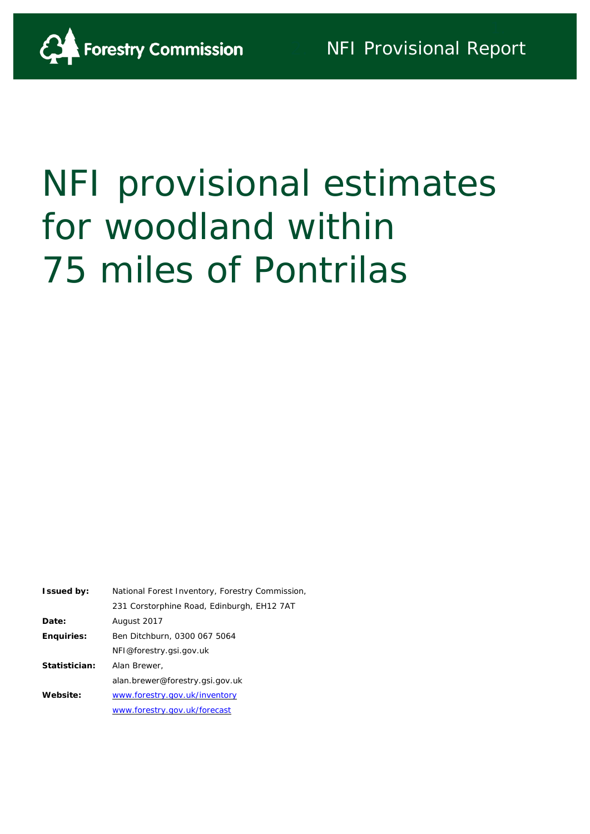

# NFI provisional estimates for woodland within 75 miles of Pontrilas

| <b>Issued by:</b> | National Forest Inventory, Forestry Commission |
|-------------------|------------------------------------------------|
|                   | 231 Corstorphine Road, Edinburgh, EH12 7AT     |
| Date:             | August 2017                                    |
| <b>Enquiries:</b> | Ben Ditchburn, 0300 067 5064                   |
|                   | NFI@forestry.gsi.gov.uk                        |
| Statistician:     | Alan Brewer,                                   |
|                   | alan.brewer@forestry.gsi.gov.uk                |
| Website:          | www.forestry.gov.uk/inventory                  |
|                   | www.forestry.gov.uk/forecast                   |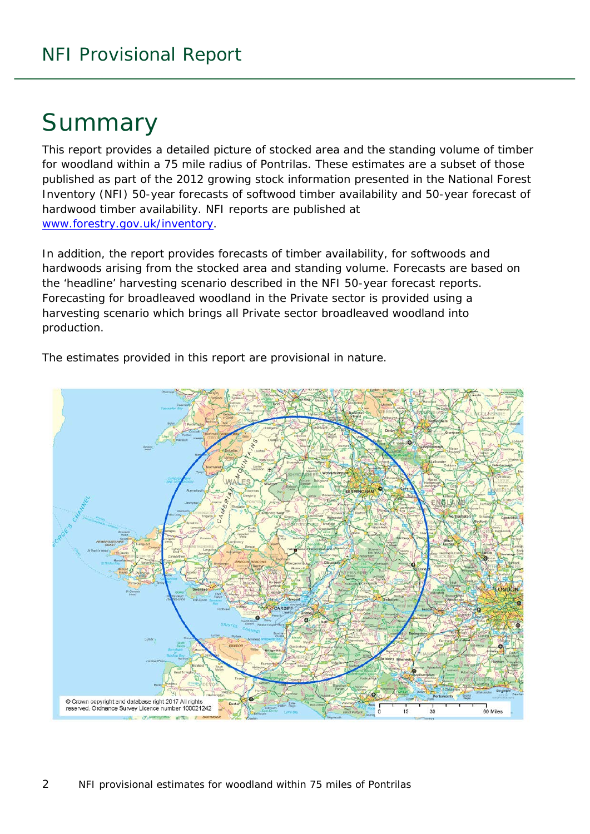# Summary

This report provides a detailed picture of stocked area and the standing volume of timber for woodland within a 75 mile radius of Pontrilas. These estimates are a subset of those published as part of the 2012 growing stock information presented in the National Forest Inventory (NFI) *50-year forecasts of softwood timber availability* and *50-year forecast of hardwood timber availability*. NFI reports are published at [www.forestry.gov.uk/inventory.](http://www.forestry.gov.uk/inventory)

In addition, the report provides forecasts of timber availability, for softwoods and hardwoods arising from the stocked area and standing volume. Forecasts are based on the 'headline' harvesting scenario described in the NFI 50-year forecast reports. Forecasting for broadleaved woodland in the Private sector is provided using a harvesting scenario which brings all Private sector broadleaved woodland into production.

Crown copyright and database right 2017 All rights reserved. Ordnance Survey Licence number 100021242 60 Miles

The estimates provided in this report are provisional in nature.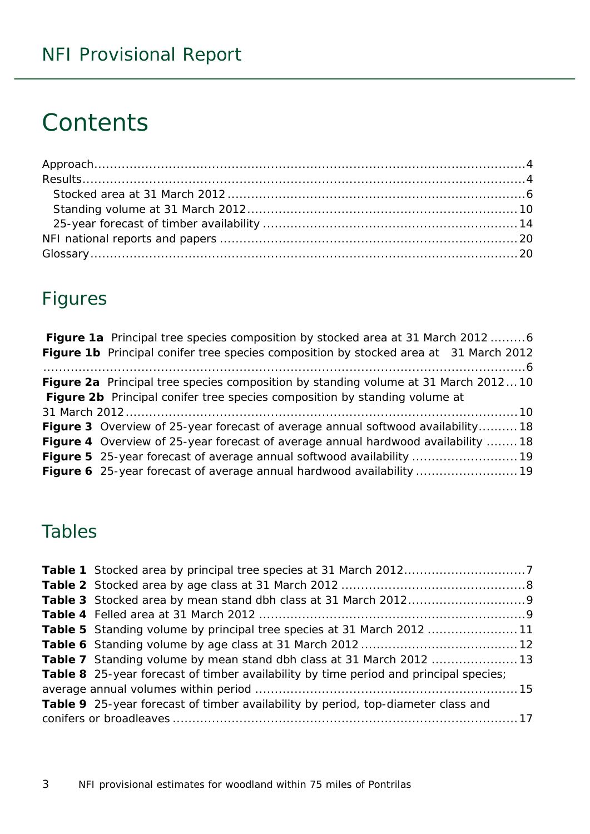# **Contents**

# Figures

| <b>Figure 1a</b> Principal tree species composition by stocked area at 31 March 2012 6    |  |
|-------------------------------------------------------------------------------------------|--|
| Figure 1b Principal conifer tree species composition by stocked area at 31 March 2012     |  |
|                                                                                           |  |
| <b>Figure 2a</b> Principal tree species composition by standing volume at 31 March 201210 |  |
| Figure 2b Principal conifer tree species composition by standing volume at                |  |
|                                                                                           |  |
| <b>Figure 3</b> Overview of 25-year forecast of average annual softwood availability18    |  |
| <b>Figure 4</b> Overview of 25-year forecast of average annual hardwood availability  18  |  |
|                                                                                           |  |
| Figure 6 25-year forecast of average annual hardwood availability  19                     |  |

# Tables

| <b>Table 5</b> Standing volume by principal tree species at 31 March 2012 11          |  |
|---------------------------------------------------------------------------------------|--|
|                                                                                       |  |
| <b>Table 7</b> Standing volume by mean stand dbh class at 31 March 2012 13            |  |
| Table 8 25-year forecast of timber availability by time period and principal species; |  |
|                                                                                       |  |
| Table 9 25-year forecast of timber availability by period, top-diameter class and     |  |
|                                                                                       |  |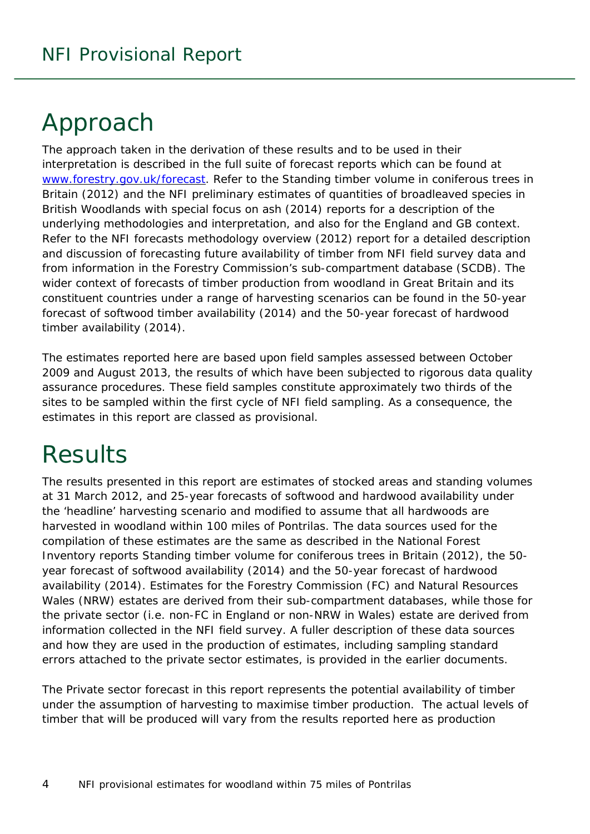# <span id="page-3-0"></span>Approach

The approach taken in the derivation of these results and to be used in their interpretation is described in the full suite of forecast reports which can be found at [www.forestry.gov.uk/forecast.](http://www.forestry.gov.uk/forecast) Refer to the *Standing timber volume in coniferous trees in Britain* (2012) and the *NFI preliminary estimates of quantities of broadleaved species in British Woodlands with special focus on ash* (2014) reports for a description of the underlying methodologies and interpretation, and also for the England and GB context. Refer to the *NFI forecasts methodology overview* (2012) report for a detailed description and discussion of forecasting future availability of timber from NFI field survey data and from information in the Forestry Commission's sub-compartment database (SCDB). The wider context of forecasts of timber production from woodland in Great Britain and its constituent countries under a range of harvesting scenarios can be found in the *50-year forecast of softwood timber availability* (2014) and the *50-year forecast of hardwood timber availability* (2014).

The estimates reported here are based upon field samples assessed between October 2009 and August 2013, the results of which have been subjected to rigorous data quality assurance procedures. These field samples constitute approximately two thirds of the sites to be sampled within the first cycle of NFI field sampling. As a consequence, the estimates in this report are classed as provisional.

# <span id="page-3-1"></span>**Results**

The results presented in this report are estimates of stocked areas and standing volumes at 31 March 2012, and 25-year forecasts of softwood and hardwood availability under the 'headline' harvesting scenario and modified to assume that all hardwoods are harvested in woodland within 100 miles of Pontrilas. The data sources used for the compilation of these estimates are the same as described in the National Forest Inventory reports *Standing timber volume for coniferous trees in Britain* (2012), the *50 year forecast of softwood availability* (2014) and the *50-year forecast of hardwood availability* (2014). Estimates for the Forestry Commission (FC) and Natural Resources Wales (NRW) estates are derived from their sub-compartment databases, while those for the private sector (i.e. non-FC in England or non-NRW in Wales) estate are derived from information collected in the NFI field survey. A fuller description of these data sources and how they are used in the production of estimates, including sampling standard errors attached to the private sector estimates, is provided in the earlier documents.

The Private sector forecast in this report represents the potential availability of timber under the assumption of harvesting to maximise timber production. The actual levels of timber that will be produced will vary from the results reported here as production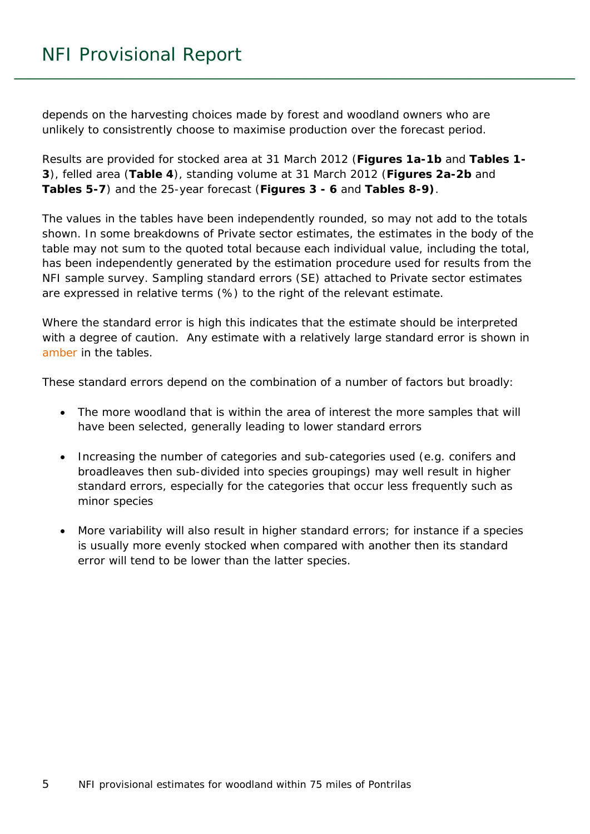depends on the harvesting choices made by forest and woodland owners who are unlikely to consistrently choose to maximise production over the forecast period.

Results are provided for stocked area at 31 March 2012 (**Figures 1a-1b** and **Tables 1- 3**), felled area (**Table 4**), standing volume at 31 March 2012 (**Figures 2a-2b** and **Tables 5-7**) and the 25-year forecast (**Figures 3 - 6** and **Tables 8-9)**.

The values in the tables have been independently rounded, so may not add to the totals shown. In some breakdowns of Private sector estimates, the estimates in the body of the table may not sum to the quoted total because each individual value, including the total, has been independently generated by the estimation procedure used for results from the NFI sample survey. Sampling standard errors (SE) attached to Private sector estimates are expressed in relative terms (%) to the right of the relevant estimate.

Where the standard error is high this indicates that the estimate should be interpreted with a degree of caution. Any estimate with a relatively large standard error is shown in amber in the tables.

These standard errors depend on the combination of a number of factors but broadly:

- The more woodland that is within the area of interest the more samples that will have been selected, generally leading to lower standard errors
- Increasing the number of categories and sub-categories used (e.g. conifers and broadleaves then sub-divided into species groupings) may well result in higher standard errors, especially for the categories that occur less frequently such as minor species
- More variability will also result in higher standard errors; for instance if a species is usually more evenly stocked when compared with another then its standard error will tend to be lower than the latter species.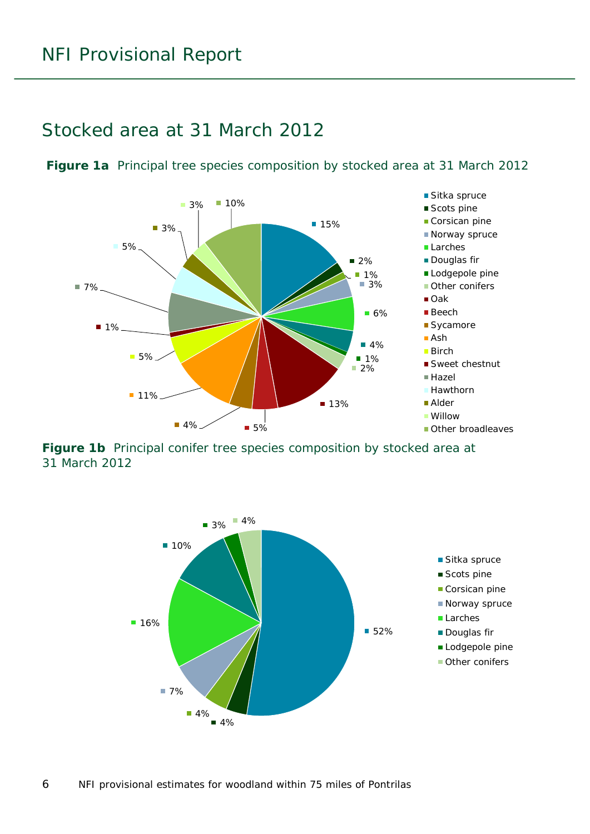### <span id="page-5-0"></span>Stocked area at 31 March 2012



<span id="page-5-1"></span>**Figure 1a** Principal tree species composition by stocked area at 31 March 2012

<span id="page-5-2"></span>**Figure 1b** Principal conifer tree species composition by stocked area at 31 March 2012

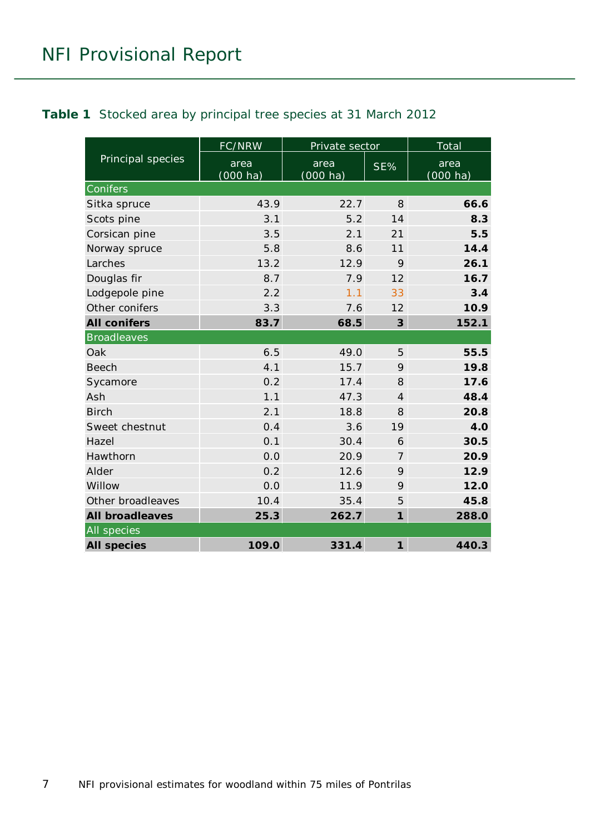<span id="page-6-0"></span>

|                        | FC/NRW                     | Private sector             |                            | Total               |
|------------------------|----------------------------|----------------------------|----------------------------|---------------------|
| Principal species      | area<br>$(000 \text{ ha})$ | area<br>$(000 \text{ ha})$ | SE%                        | area<br>$(000)$ ha) |
| Conifers               |                            |                            |                            |                     |
| Sitka spruce           | 43.9                       | 22.7                       | 8                          | 66.6                |
| Scots pine             | 3.1                        | 5.2                        | 14                         | 8.3                 |
| Corsican pine          | 3.5                        | 2.1                        | 21                         | 5.5                 |
| Norway spruce          | 5.8                        | 8.6                        | 11                         | 14.4                |
| Larches                | 13.2                       | 12.9                       | 9                          | 26.1                |
| Douglas fir            | 8.7                        | 7.9                        | 12                         | 16.7                |
| Lodgepole pine         | 2.2                        | 1.1                        | 33                         | 3.4                 |
| Other conifers         | 3.3                        | 7.6                        | 12                         | 10.9                |
| <b>All conifers</b>    | 83.7                       | 68.5                       | $\overline{3}$             | 152.1               |
| <b>Broadleaves</b>     |                            |                            |                            |                     |
| Oak                    | 6.5                        | 49.0                       | 5                          | 55.5                |
| <b>Beech</b>           | 4.1                        | 15.7                       | 9                          | 19.8                |
| Sycamore               | 0.2                        | 17.4                       | 8                          | 17.6                |
| Ash                    | 1.1                        | 47.3                       | $\overline{4}$             | 48.4                |
| <b>Birch</b>           | 2.1                        | 18.8                       | 8                          | 20.8                |
| Sweet chestnut         | 0.4                        | 3.6                        | 19                         | 4.0                 |
| Hazel                  | 0.1                        | 30.4                       | 6                          | 30.5                |
| Hawthorn               | 0.0                        | 20.9                       | $\overline{7}$             | 20.9                |
| Alder                  | 0.2                        | 12.6                       | 9                          | 12.9                |
| Willow                 | 0.0                        | 11.9                       | 9                          | 12.0                |
| Other broadleaves      | 10.4                       | 35.4                       | 5                          | 45.8                |
| <b>All broadleaves</b> | 25.3                       | 262.7                      | $\mathbf{1}$               | 288.0               |
| All species            |                            |                            |                            |                     |
| <b>All species</b>     | 109.0                      | 331.4                      | $\boldsymbol{\mathcal{I}}$ | 440.3               |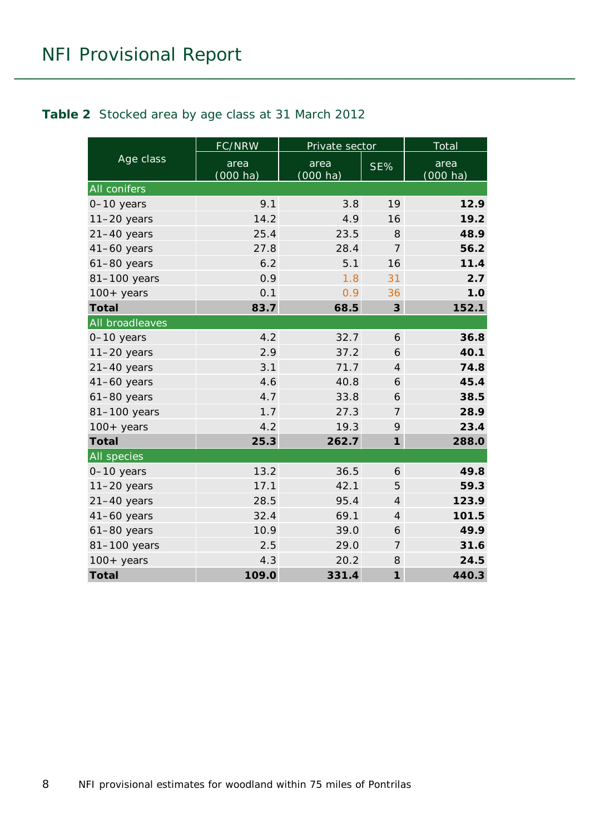#### <span id="page-7-0"></span>**Table 2** Stocked area by age class at 31 March 2012

|                    | FC/NRW                     | Private sector             |                            | Total                      |
|--------------------|----------------------------|----------------------------|----------------------------|----------------------------|
| Age class          | area<br>$(000 \text{ ha})$ | area<br>$(000 \text{ ha})$ | SE%                        | area<br>$(000 \text{ ha})$ |
| All conifers       |                            |                            |                            |                            |
| $0-10$ years       | 9.1                        | 3.8                        | 19                         | 12.9                       |
| $11-20$ years      | 14.2                       | 4.9                        | 16                         | 19.2                       |
| $21-40$ years      | 25.4                       | 23.5                       | 8                          | 48.9                       |
| $41-60$ years      | 27.8                       | 28.4                       | $\overline{7}$             | 56.2                       |
| $61-80$ years      | 6.2                        | 5.1                        | 16                         | 11.4                       |
| 81-100 years       | 0.9                        | 1.8                        | 31                         | 2.7                        |
| $100+$ years       | 0.1                        | 0.9                        | 36                         | 1.0                        |
| <b>Total</b>       | 83.7                       | 68.5                       | $\boldsymbol{3}$           | 152.1                      |
| All broadleaves    |                            |                            |                            |                            |
| 0-10 years         | 4.2                        | 32.7                       | 6                          | 36.8                       |
| $11-20$ years      | 2.9                        | 37.2                       | 6                          | 40.1                       |
| $21-40$ years      | 3.1                        | 71.7                       | $\overline{4}$             | 74.8                       |
| $41-60$ years      | 4.6                        | 40.8                       | 6                          | 45.4                       |
| $61-80$ years      | 4.7                        | 33.8                       | 6                          | 38.5                       |
| 81-100 years       | 1.7                        | 27.3                       | 7                          | 28.9                       |
| $100+$ years       | 4.2                        | 19.3                       | 9                          | 23.4                       |
| <b>Total</b>       | 25.3                       | 262.7                      | $\boldsymbol{\mathcal{I}}$ | 288.0                      |
| <b>All species</b> |                            |                            |                            |                            |
| $0-10$ years       | 13.2                       | 36.5                       | 6                          | 49.8                       |
| $11-20$ years      | 17.1                       | 42.1                       | 5                          | 59.3                       |
| $21-40$ years      | 28.5                       | 95.4                       | $\overline{4}$             | 123.9                      |
| $41-60$ years      | 32.4                       | 69.1                       | $\overline{4}$             | 101.5                      |
| $61-80$ years      | 10.9                       | 39.0                       | 6                          | 49.9                       |
| 81-100 years       | 2.5                        | 29.0                       | $\overline{7}$             | 31.6                       |
| $100+$ years       | 4.3                        | 20.2                       | 8                          | 24.5                       |
| <b>Total</b>       | 109.0                      | 331.4                      | $\mathbf{1}$               | 440.3                      |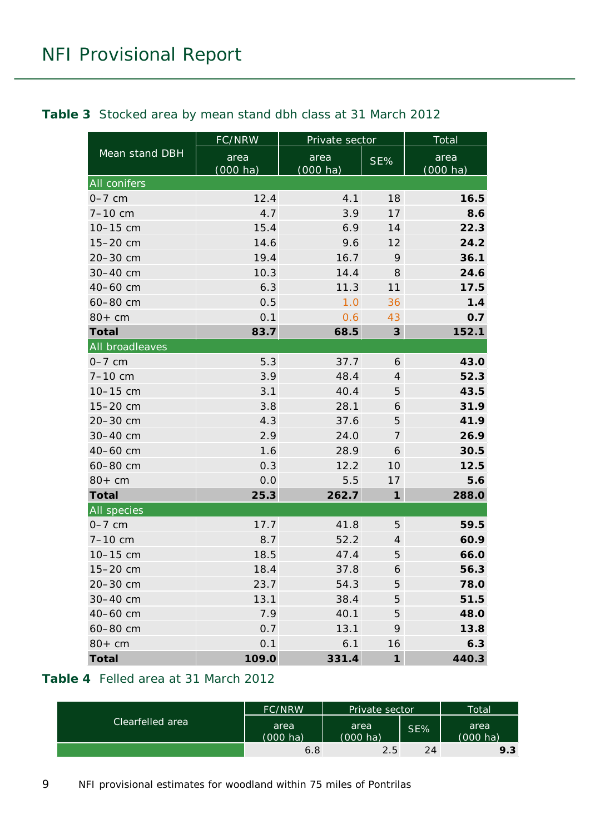|                 | FC/NRW                     | Private sector                    |                            | Total                      |
|-----------------|----------------------------|-----------------------------------|----------------------------|----------------------------|
| Mean stand DBH  | area<br>$(000 \text{ ha})$ | area<br>SE%<br>$(000 \text{ ha})$ |                            | area<br>$(000 \text{ ha})$ |
| All conifers    |                            |                                   |                            |                            |
| $0-7$ cm        | 12.4                       | 4.1                               | 18                         | 16.5                       |
| $7 - 10$ cm     | 4.7                        | 3.9                               | 17                         | 8.6                        |
| 10-15 cm        | 15.4                       | 6.9                               | 14                         | 22.3                       |
| 15-20 cm        | 14.6                       | 9.6                               | 12                         | 24.2                       |
| 20-30 cm        | 19.4                       | 16.7                              | 9                          | 36.1                       |
| 30-40 cm        | 10.3                       | 14.4                              | 8                          | 24.6                       |
| 40-60 cm        | 6.3                        | 11.3                              | 11                         | 17.5                       |
| 60-80 cm        | 0.5                        | 1.0                               | 36                         | 1.4                        |
| $80+cm$         | 0.1                        | 0.6                               | 43                         | 0.7                        |
| <b>Total</b>    | 83.7                       | 68.5                              | 3                          | 152.1                      |
| All broadleaves |                            |                                   |                            |                            |
| $0-7$ cm        | 5.3                        | 37.7                              | 6                          | 43.0                       |
| $7 - 10$ cm     | 3.9                        | 48.4                              | $\overline{4}$             | 52.3                       |
| 10-15 cm        | 3.1                        | 40.4                              | 5                          | 43.5                       |
| 15-20 cm        | 3.8                        | 28.1                              | 6                          | 31.9                       |
| 20-30 cm        | 4.3                        | 37.6                              | 5                          | 41.9                       |
| 30-40 cm        | 2.9                        | 24.0                              | $\overline{7}$             | 26.9                       |
| 40-60 cm        | 1.6                        | 28.9                              | 6                          | 30.5                       |
| 60-80 cm        | 0.3                        | 12.2                              | 10                         | 12.5                       |
| $80+cm$         | 0.0                        | 5.5                               | 17                         | 5.6                        |
| <b>Total</b>    | 25.3                       | 262.7                             | $\boldsymbol{\mathcal{I}}$ | 288.0                      |
| All species     |                            |                                   |                            |                            |
| $0-7$ cm        | 17.7                       | 41.8                              | 5                          | 59.5                       |
| $7 - 10$ cm     | 8.7                        | 52.2                              | $\overline{4}$             | 60.9                       |
| 10-15 cm        | 18.5                       | 47.4                              | 5                          | 66.0                       |
| 15-20 cm        | 18.4                       | 37.8                              | 6                          | 56.3                       |
| 20-30 cm        | 23.7                       | 54.3                              | 5                          | 78.0                       |
| 30-40 cm        | 13.1                       | 38.4                              | 5                          | 51.5                       |
| 40-60 cm        | 7.9                        | 40.1                              | 5                          | 48.0                       |
| 60-80 cm        | 0.7                        | 13.1                              | 9                          | 13.8                       |
| $80+cm$         | 0.1                        | 6.1                               | 16                         | 6.3                        |
| <b>Total</b>    | 109.0                      | 331.4                             | $\boldsymbol{\eta}$        | 440.3                      |

#### <span id="page-8-0"></span>**Table 3** Stocked area by mean stand dbh class at 31 March 2012

### <span id="page-8-1"></span>**Table 4** Felled area at 31 March 2012

|                  | FC/NRW                     | <b>Private sector</b>      |     | <b>Total</b>               |
|------------------|----------------------------|----------------------------|-----|----------------------------|
| Clearfelled area | area<br>$(000 \text{ ha})$ | area<br>$(000 \text{ ha})$ | SE% | area<br>$(000 \text{ ha})$ |
|                  | 6.8                        | 2.5                        | 24  | 9.3                        |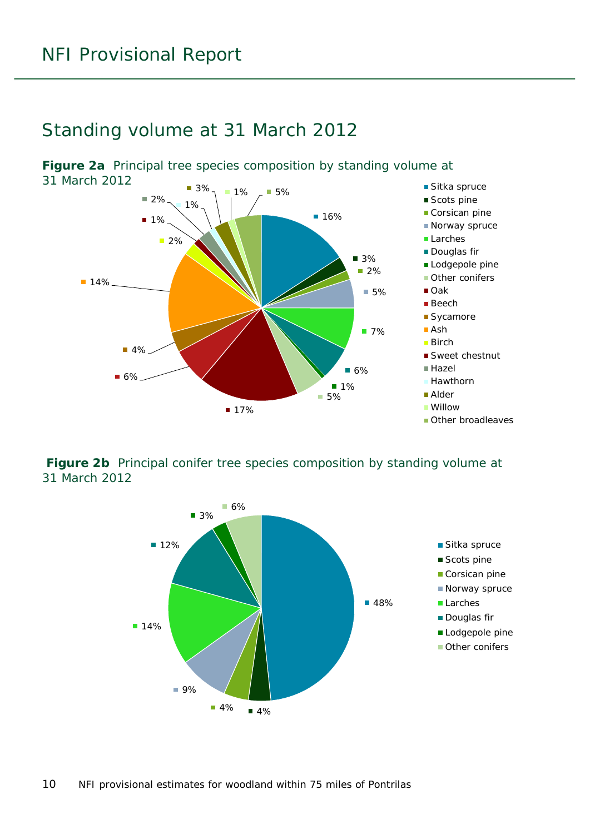### <span id="page-9-0"></span>Standing volume at 31 March 2012



<span id="page-9-1"></span>**Figure 2a** Principal tree species composition by standing volume at

<span id="page-9-2"></span>**Figure 2b** Principal conifer tree species composition by standing volume at 31 March 2012

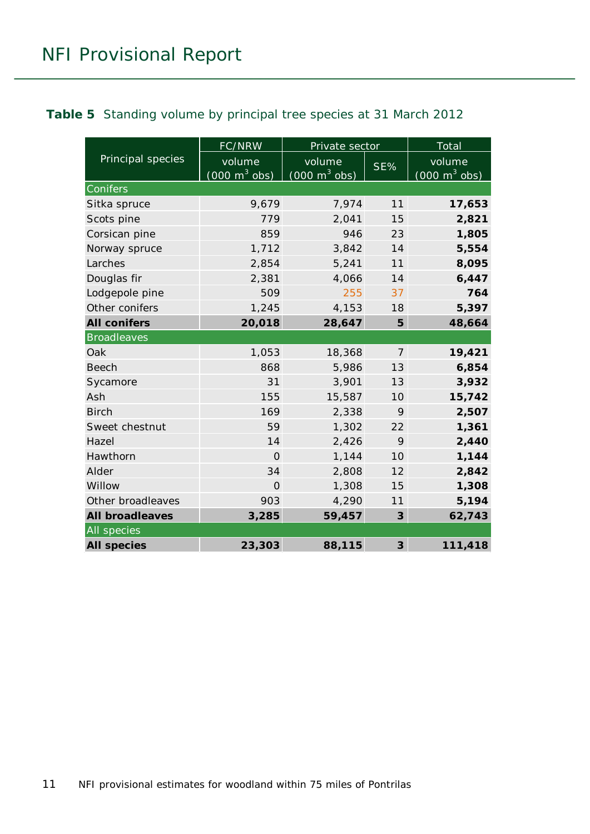#### <span id="page-10-0"></span>**Table 5** Standing volume by principal tree species at 31 March 2012

|                        | FC/NRW                                    | Private sector                            |                | Total                                     |
|------------------------|-------------------------------------------|-------------------------------------------|----------------|-------------------------------------------|
| Principal species      | volume<br>$(000 \text{ m}^3 \text{ obs})$ | volume<br>$(000 \text{ m}^3 \text{ obs})$ | SE%            | volume<br>$(000 \text{ m}^3 \text{ obs})$ |
| Conifers               |                                           |                                           |                |                                           |
| Sitka spruce           | 9,679                                     | 7,974                                     | 11             | 17,653                                    |
| Scots pine             | 779                                       | 2,041                                     | 15             | 2,821                                     |
| Corsican pine          | 859                                       | 946                                       | 23             | 1,805                                     |
| Norway spruce          | 1,712                                     | 3,842                                     | 14             | 5,554                                     |
| Larches                | 2,854                                     | 5,241                                     | 11             | 8,095                                     |
| Douglas fir            | 2,381                                     | 4,066                                     | 14             | 6,447                                     |
| Lodgepole pine         | 509                                       | 255                                       | 37             | 764                                       |
| Other conifers         | 1,245                                     | 4,153                                     | 18             | 5,397                                     |
| <b>All conifers</b>    | 20,018                                    | 28,647                                    | 5              | 48,664                                    |
| <b>Broadleaves</b>     |                                           |                                           |                |                                           |
| Oak                    | 1,053                                     | 18,368                                    | $\overline{7}$ | 19,421                                    |
| <b>Beech</b>           | 868                                       | 5,986                                     | 13             | 6,854                                     |
| Sycamore               | 31                                        | 3,901                                     | 13             | 3,932                                     |
| Ash                    | 155                                       | 15,587                                    | 10             | 15,742                                    |
| <b>Birch</b>           | 169                                       | 2,338                                     | 9              | 2,507                                     |
| Sweet chestnut         | 59                                        | 1,302                                     | 22             | 1,361                                     |
| Hazel                  | 14                                        | 2,426                                     | 9              | 2,440                                     |
| Hawthorn               | $\Omega$                                  | 1,144                                     | 10             | 1,144                                     |
| Alder                  | 34                                        | 2,808                                     | 12             | 2,842                                     |
| Willow                 | $\Omega$                                  | 1,308                                     | 15             | 1,308                                     |
| Other broadleaves      | 903                                       | 4,290                                     | 11             | 5,194                                     |
| <b>All broadleaves</b> | 3,285                                     | 59,457                                    | $\overline{3}$ | 62,743                                    |
| All species            |                                           |                                           |                |                                           |
| <b>All species</b>     | 23,303                                    | 88,115                                    | $\mathbf{3}$   | 111,418                                   |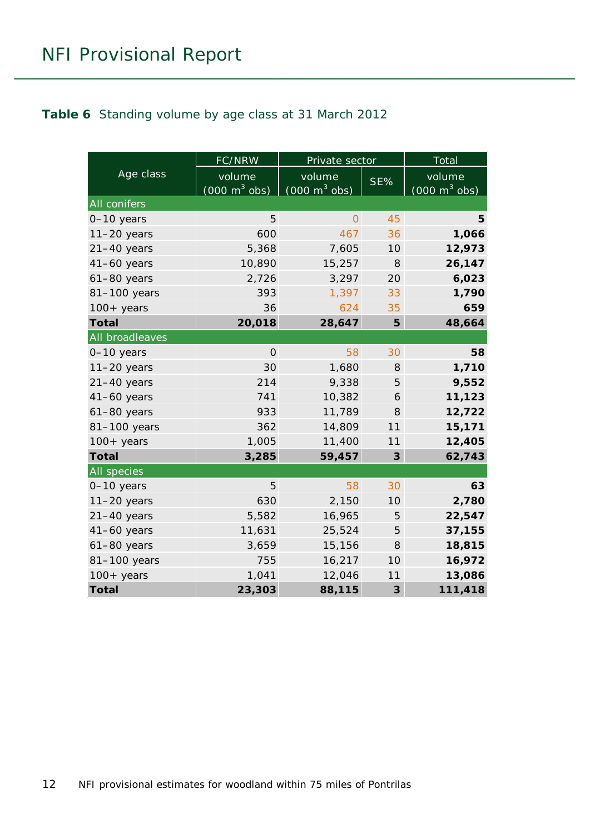#### <span id="page-11-0"></span>**Table 6** Standing volume by age class at 31 March 2012

|                       | <b>FC/NRW</b>                   | Private sector                  |                | Total                           |
|-----------------------|---------------------------------|---------------------------------|----------------|---------------------------------|
| Age class             | volume                          | volume                          | SE%            | volume                          |
|                       | $(000 \text{ m}^3 \text{ obs})$ | $(000 \text{ m}^3 \text{ obs})$ |                | $(000 \text{ m}^3 \text{ obs})$ |
| All conifers          |                                 |                                 |                |                                 |
| $0-10$ years          | 5                               | $\Omega$                        | 45             | 5                               |
| $11-20$ years         | 600                             | 467                             | 36             | 1,066                           |
| $21-40$ years         | 5,368                           | 7,605                           | 10             | 12,973                          |
| $41-60$ years         | 10,890                          | 15,257                          | 8              | 26,147                          |
| $61-80$ years         | 2,726                           | 3,297                           | 20             | 6,023                           |
| 81-100 years          | 393                             | 1,397                           | 33             | 1,790                           |
| $100+$ years          | 36                              | 624                             | 35             | 659                             |
| <b>Total</b>          | 20,018                          | 28,647                          | 5              | 48,664                          |
| All broadleaves       |                                 |                                 |                |                                 |
| 0-10 years            | $\mathbf{O}$                    | 58                              | 30             | 58                              |
| $11-20$ years         | 30                              | 1,680                           | 8              | 1,710                           |
| $21-40$ years         | 214                             | 9,338                           | 5              | 9,552                           |
| $41-60$ years         | 741                             | 10,382                          | 6              | 11,123                          |
| $61-80$ years         | 933                             | 11,789                          | 8              | 12,722                          |
| 81-100 years          | 362                             | 14,809                          | 11             | 15,171                          |
| $100 + \text{ years}$ | 1,005                           | 11,400                          | 11             | 12,405                          |
| <b>Total</b>          | 3,285                           | 59,457                          | 3              | 62,743                          |
| All species           |                                 |                                 |                |                                 |
| 0-10 years            | 5                               | 58                              | 30             | 63                              |
| $11-20$ years         | 630                             | 2,150                           | 10             | 2,780                           |
| $21-40$ years         | 5,582                           | 16,965                          | 5              | 22,547                          |
| $41-60$ years         | 11,631                          | 25,524                          | 5              | 37,155                          |
| $61-80$ years         | 3,659                           | 15,156                          | 8              | 18,815                          |
| 81-100 years          | 755                             | 16,217                          | 10             | 16,972                          |
| $100 + years$         | 1,041                           | 12,046                          | 11             | 13,086                          |
| <b>Total</b>          | 23,303                          | 88,115                          | $\overline{3}$ | 111,418                         |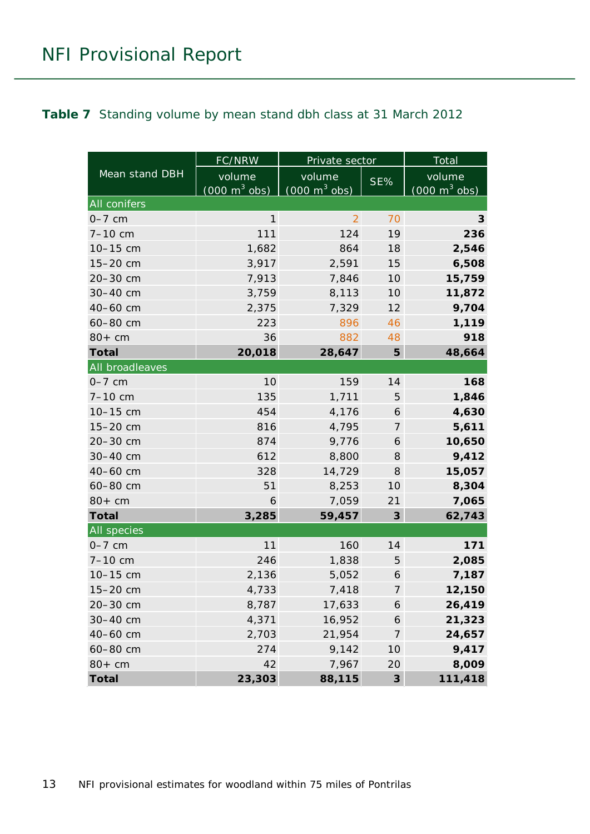#### <span id="page-12-0"></span>**Table 7** Standing volume by mean stand dbh class at 31 March 2012

|                    | FC/NRW                          | Private sector                  |                  | Total                           |
|--------------------|---------------------------------|---------------------------------|------------------|---------------------------------|
| Mean stand DBH     | volume                          | volume                          | SE%              | volume                          |
|                    | $(000 \text{ m}^3 \text{ obs})$ | $(000 \text{ m}^3 \text{ obs})$ |                  | $(000 \text{ m}^3 \text{ obs})$ |
| All conifers       |                                 |                                 |                  |                                 |
| $0-7$ cm           | $\mathbf{1}$                    | $\overline{2}$                  | 70               | 3                               |
| $7 - 10$ cm        | 111                             | 124                             | 19               | 236                             |
| 10-15 cm           | 1,682                           | 864                             | 18               | 2,546                           |
| 15-20 cm           | 3,917                           | 2,591                           | 15               | 6,508                           |
| 20-30 cm           | 7,913                           | 7,846                           | 10               | 15,759                          |
| 30-40 cm           | 3,759                           | 8,113                           | 10               | 11,872                          |
| 40-60 cm           | 2,375                           | 7,329                           | 12               | 9,704                           |
| 60-80 cm           | 223                             | 896                             | 46               | 1,119                           |
| $80+cm$            | 36                              | 882                             | 48               | 918                             |
| <b>Total</b>       | 20,018                          | 28,647                          | 5                | 48,664                          |
| All broadleaves    |                                 |                                 |                  |                                 |
| $0-7$ cm           | 10                              | 159                             | 14               | 168                             |
| $7 - 10$ cm        | 135                             | 1,711                           | 5                | 1,846                           |
| 10-15 cm           | 454                             | 4,176                           | 6                | 4,630                           |
| 15-20 cm           | 816                             | 4,795                           | 7                | 5,611                           |
| 20-30 cm           | 874                             | 9,776                           | 6                | 10,650                          |
| 30-40 cm           | 612                             | 8,800                           | 8                | 9,412                           |
| 40-60 cm           | 328                             | 14,729                          | 8                | 15,057                          |
| 60-80 cm           | 51                              | 8,253                           | 10               | 8,304                           |
| $80+cm$            | 6                               | 7,059                           | 21               | 7,065                           |
| <b>Total</b>       | 3,285                           | 59,457                          | $\boldsymbol{3}$ | 62,743                          |
| <b>All</b> species |                                 |                                 |                  |                                 |
| $0-7$ cm           | 11                              | 160                             | 14               | 171                             |
| $7 - 10$ cm        | 246                             | 1,838                           | 5                | 2,085                           |
| 10-15 cm           | 2,136                           | 5,052                           | 6                | 7,187                           |
| 15-20 cm           | 4,733                           | 7,418                           | 7                | 12,150                          |
| 20-30 cm           | 8,787                           | 17,633                          | 6                | 26,419                          |
| 30-40 cm           | 4,371                           | 16,952                          | 6                | 21,323                          |
| 40-60 cm           | 2,703                           | 21,954                          | 7                | 24,657                          |
| 60-80 cm           | 274                             | 9,142                           | 10               | 9,417                           |
| $80+cm$            | 42                              | 7,967                           | 20               | 8,009                           |
| <b>Total</b>       | 23,303                          | 88,115                          | $\boldsymbol{3}$ | 111,418                         |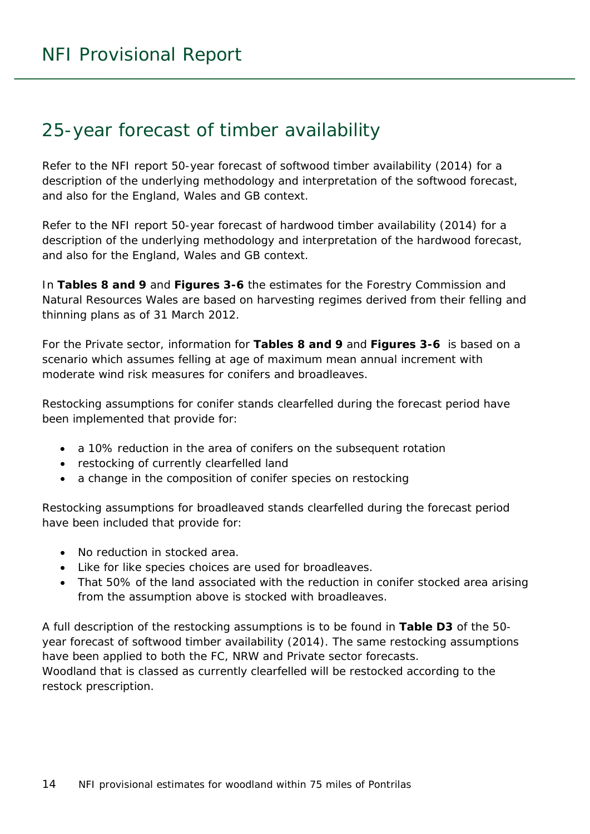## <span id="page-13-0"></span>25-year forecast of timber availability

Refer to the NFI report *50-year forecast of softwood timber availability* (2014) for a description of the underlying methodology and interpretation of the softwood forecast, and also for the England, Wales and GB context.

Refer to the NFI report *50-year forecast of hardwood timber availability* (2014) for a description of the underlying methodology and interpretation of the hardwood forecast, and also for the England, Wales and GB context.

In **Tables 8 and 9** and **Figures 3-6** the estimates for the Forestry Commission and Natural Resources Wales are based on harvesting regimes derived from their felling and thinning plans as of 31 March 2012.

For the Private sector, information for **Tables 8 and 9** and **Figures 3-6** is based on a scenario which assumes felling at age of maximum mean annual increment with moderate wind risk measures for conifers and broadleaves.

Restocking assumptions for conifer stands clearfelled during the forecast period have been implemented that provide for:

- a 10% reduction in the area of conifers on the subsequent rotation
- restocking of currently clearfelled land
- a change in the composition of conifer species on restocking

Restocking assumptions for broadleaved stands clearfelled during the forecast period have been included that provide for:

- No reduction in stocked area.
- Like for like species choices are used for broadleaves.
- That 50% of the land associated with the reduction in conifer stocked area arising from the assumption above is stocked with broadleaves.

A full description of the restocking assumptions is to be found in **Table D3** of the *50 year forecast of softwood timber availability* (2014). The same restocking assumptions have been applied to both the FC, NRW and Private sector forecasts. Woodland that is classed as currently clearfelled will be restocked according to the restock prescription.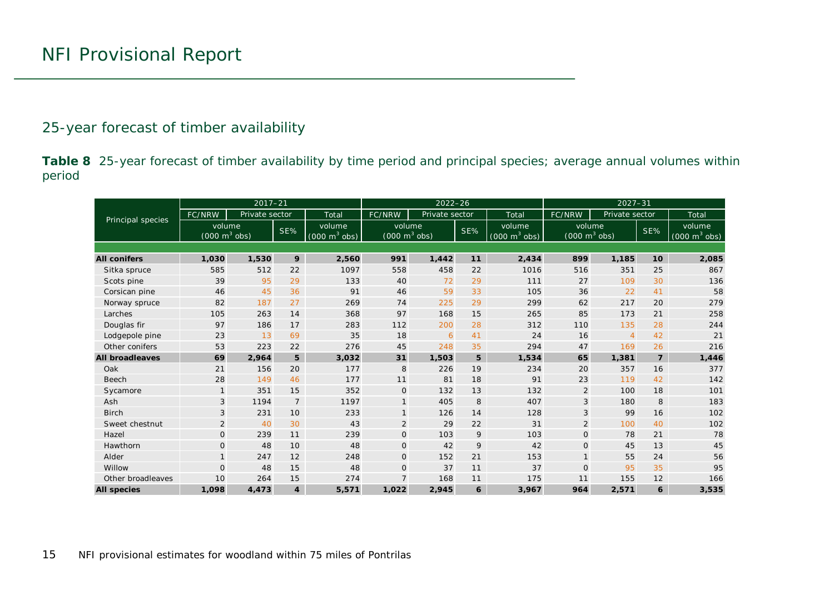### 25-year forecast of timber availability

**Table 8** 25-year forecast of timber availability by time period and principal species; average annual volumes within period

<span id="page-14-0"></span>

|                        |                                           | $2017 - 21$    |                         |                                           |                                           | $2022 - 26$    |       |                                               | $2027 - 31$                               |                |                |                                           |  |  |
|------------------------|-------------------------------------------|----------------|-------------------------|-------------------------------------------|-------------------------------------------|----------------|-------|-----------------------------------------------|-------------------------------------------|----------------|----------------|-------------------------------------------|--|--|
| Principal species      | FC/NRW                                    | Private sector |                         | Total                                     | FC/NRW                                    | Private sector | Total |                                               | FC/NRW                                    | Private sector |                | Total                                     |  |  |
|                        | volume<br>$(000 \text{ m}^3 \text{ obs})$ |                | SE%                     | volume<br>$(000 \text{ m}^3 \text{ obs})$ | volume<br>$(000 \text{ m}^3 \text{ obs})$ |                | SE%   | volume<br>$(000 \; \text{m}^3 \; \text{obs})$ | volume<br>$(000 \text{ m}^3 \text{ obs})$ |                | SE%            | volume<br>$(000 \text{ m}^3 \text{ obs})$ |  |  |
|                        |                                           |                |                         |                                           |                                           |                |       |                                               |                                           |                |                |                                           |  |  |
| <b>All conifers</b>    | 1,030                                     | 1,530          | 9                       | 2,560                                     | 991                                       | 1,442          | 11    | 2,434                                         | 899                                       | 1,185          | 10             | 2,085                                     |  |  |
| Sitka spruce           | 585                                       | 512            | 22                      | 1097                                      | 558                                       | 458            | 22    | 1016                                          | 516                                       | 351            | 25             | 867                                       |  |  |
| Scots pine             | 39                                        | 95             | 29                      | 133                                       | 40                                        | 72             | 29    | 111                                           | 27                                        | 109            | 30             | 136                                       |  |  |
| Corsican pine          | 46                                        | 45             | 36                      | 91                                        | 46                                        | 59             | 33    | 105                                           | 36                                        | 22             | 41             | 58                                        |  |  |
| Norway spruce          | 82                                        | 187            | 27                      | 269                                       | 74                                        | 225            | 29    | 299                                           | 62                                        | 217            | 20             | 279                                       |  |  |
| Larches                | 105                                       | 263            |                         | 368                                       | 97                                        | 168            | 15    | 265                                           | 85                                        | 173            | 21             | 258                                       |  |  |
| Douglas fir            | 97                                        | 186            | 17                      | 283                                       | 112                                       | 200            | 28    | 312                                           | 110                                       | 135            | 28             | 244                                       |  |  |
| Lodgepole pine         | 23                                        | 13             | 69                      | 35                                        | 18                                        | 6              | 41    | 24                                            | 16                                        | $\overline{4}$ | 42             | 21                                        |  |  |
| Other conifers         | 53                                        | 223            | 22                      | 276                                       | 45                                        | 248            | 35    | 294                                           | 47                                        | 169            | 26             | 216                                       |  |  |
| <b>All broadleaves</b> | 69                                        | 2,964          | 5                       | 3,032                                     | 31                                        | 1,503          | 5     | 1,534                                         | 65                                        | 1,381          | $\overline{7}$ | 1,446                                     |  |  |
| Oak                    | 21                                        | 156            | 20                      | 177                                       | 8                                         | 226            | 19    | 234                                           | 20                                        | 357            | 16             | 377                                       |  |  |
| Beech                  | 28                                        | 149            | 46                      | 177                                       | 11                                        | 81             | 18    | 91                                            | 23                                        | 119            | 42             | 142                                       |  |  |
| Sycamore               |                                           | 351            | 15                      | 352                                       | $\mathbf 0$                               | 132            | 13    | 132                                           | $\overline{2}$                            | 100            | 18             | 101                                       |  |  |
| Ash                    | 3                                         | 1194           | $\overline{7}$          | 1197                                      | $\mathbf{1}$                              | 405            | 8     | 407                                           | 3                                         | 180            | 8              | 183                                       |  |  |
| <b>Birch</b>           | 3                                         | 231            | 10 <sup>°</sup>         | 233                                       | $\mathbf{1}$                              | 126            | 14    | 128                                           | 3                                         | 99             | 16             | 102                                       |  |  |
| Sweet chestnut         | 2                                         | 40             | 30                      | 43                                        | 2                                         | 29             | 22    | 31                                            | $\overline{2}$                            | 100            | 40             | 102                                       |  |  |
| Hazel                  | $\mathbf{O}$                              | 239            | 11                      | 239                                       | $\mathsf{O}$                              | 103            | 9     | 103                                           | $\mathsf{O}$                              | 78             | 21             | 78                                        |  |  |
| Hawthorn               | $\mathbf{O}$                              | 48             | 10                      | 48                                        | $\overline{O}$                            | 42             | 9     | 42                                            | $\mathsf{O}$                              | 45             | 13             | 45                                        |  |  |
| Alder                  |                                           | 247            | 12                      | 248                                       | $\mathsf{O}$                              | 152            | 21    | 153                                           | $\mathbf{1}$                              | 55             | 24             | 56                                        |  |  |
| Willow                 | $\mathbf{O}$                              | 48             | 15                      | 48                                        | $\mathbf{O}$                              | 37             | 11    | 37                                            | $\mathsf{O}$                              | 95             | 35             | 95                                        |  |  |
| Other broadleaves      | 10                                        | 264            | 15                      | 274                                       | $\overline{7}$                            | 168            | 11    | 175                                           | 11                                        | 155            | 12             | 166                                       |  |  |
| <b>All species</b>     | 1,098                                     | 4,473          | $\overline{\mathbf{4}}$ | 5,571                                     | 1,022                                     | 2,945          | 6     | 3,967                                         | 964                                       | 2,571          | 6              | 3,535                                     |  |  |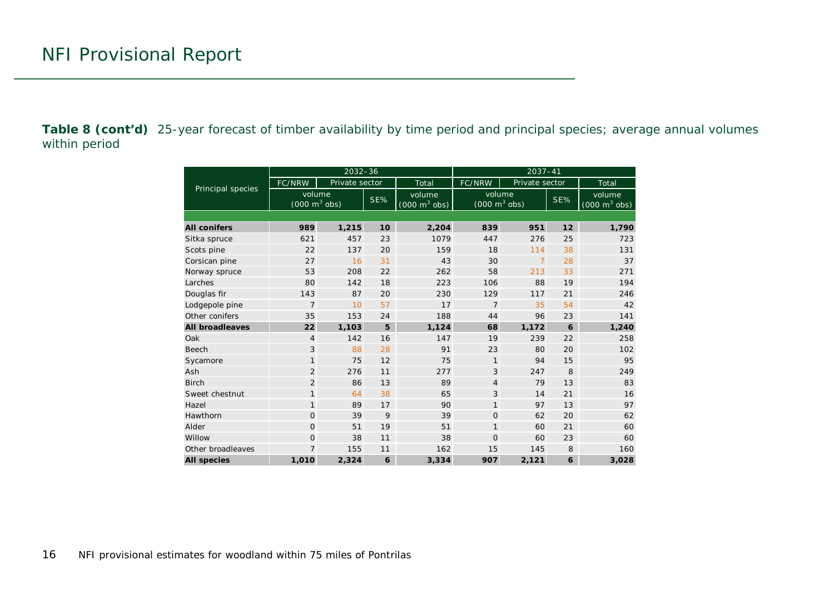**Table 8 (cont'd)** 25-year forecast of timber availability by time period and principal species; average annual volumes within period

|                        |                                           | $2032 - 36$    |     |                                           | $2037 - 41$                               |                |     |                                           |  |  |
|------------------------|-------------------------------------------|----------------|-----|-------------------------------------------|-------------------------------------------|----------------|-----|-------------------------------------------|--|--|
| Principal species      | FC/NRW                                    | Private sector |     | Total                                     | FC/NRW                                    | Private sector |     | Total                                     |  |  |
|                        | volume<br>$(000 \text{ m}^3 \text{ obs})$ |                | SE% | volume<br>$(000 \text{ m}^3 \text{ obs})$ | volume<br>$(000 \text{ m}^3 \text{ obs})$ |                | SE% | volume<br>$(000 \text{ m}^3 \text{ obs})$ |  |  |
|                        |                                           |                |     |                                           |                                           |                |     |                                           |  |  |
| <b>All conifers</b>    | 989                                       | 1,215          | 10  | 2,204                                     | 839                                       | 951            | 12  | 1,790                                     |  |  |
| Sitka spruce           | 621                                       | 457            | 23  | 1079                                      | 447                                       | 276            | 25  | 723                                       |  |  |
| Scots pine             | 22<br>137                                 |                | 20  | 159                                       | 18                                        | 114            | 38  | 131                                       |  |  |
| Corsican pine          | 27<br>16                                  |                | 31  | 43                                        | 30                                        | $\overline{7}$ | 28  | 37                                        |  |  |
| Norway spruce          | 53                                        | 208            | 22  | 262                                       | 58                                        | 213            | 33  | 271                                       |  |  |
| Larches                | 80                                        | 142            | 18  | 223                                       | 106                                       | 88             | 19  | 194                                       |  |  |
| Douglas fir            | 143                                       | 87             | 20  | 230                                       | 129                                       | 117            | 21  | 246                                       |  |  |
| Lodgepole pine         | $\overline{7}$                            | 10             | 57  | 17                                        | $\overline{7}$                            | 35             | 54  | 42                                        |  |  |
| Other conifers         | 35                                        | 153            | 24  | 188                                       | 44                                        | 96             | 23  | 141                                       |  |  |
| <b>All broadleaves</b> | 22                                        | 1,103          | 5   | 1,124                                     | 68                                        | 1,172          | 6   | 1,240                                     |  |  |
| Oak                    | 4                                         | 142            | 16  | 147                                       | 19                                        | 239            | 22  | 258                                       |  |  |
| <b>Beech</b>           | 3                                         | 88             | 28  | 91                                        | 23                                        | 80             | 20  | 102                                       |  |  |
| Sycamore               | $\mathbf{1}$                              | 75             | 12  | 75                                        | $\mathbf{1}$                              | 94             | 15  | 95                                        |  |  |
| Ash                    | 2                                         | 276            | 11  | 277                                       | 3                                         | 247            | 8   | 249                                       |  |  |
| <b>Birch</b>           | $\overline{2}$                            | 86             | 13  | 89                                        | 4                                         | 79             | 13  | 83                                        |  |  |
| Sweet chestnut         | $\mathbf{1}$                              | 64             | 38  | 65                                        | 3                                         | 14             | 21  | 16                                        |  |  |
| Hazel                  | $\mathbf{1}$                              | 89             | 17  | 90                                        | $\mathbf{1}$                              | 97             | 13  | 97                                        |  |  |
| Hawthorn               | $\Omega$                                  | 39             | 9   | 39                                        | $\Omega$                                  | 62             | 20  | 62                                        |  |  |
| Alder                  | $\mathbf{O}$                              | 51             | 19  | 51                                        | $\mathbf{1}$                              | 60             | 21  | 60                                        |  |  |
| Willow                 | $\overline{0}$                            | 38             | 11  | 38                                        | $\Omega$                                  | 60             | 23  | 60                                        |  |  |
| Other broadleaves      | $\overline{7}$                            | 155            | 11  | 162                                       | 15                                        | 145            | 8   | 160                                       |  |  |
| <b>All species</b>     | 1,010                                     | 2.324          | 6   | 3,334                                     | 907                                       | 2,121          | 6   | 3,028                                     |  |  |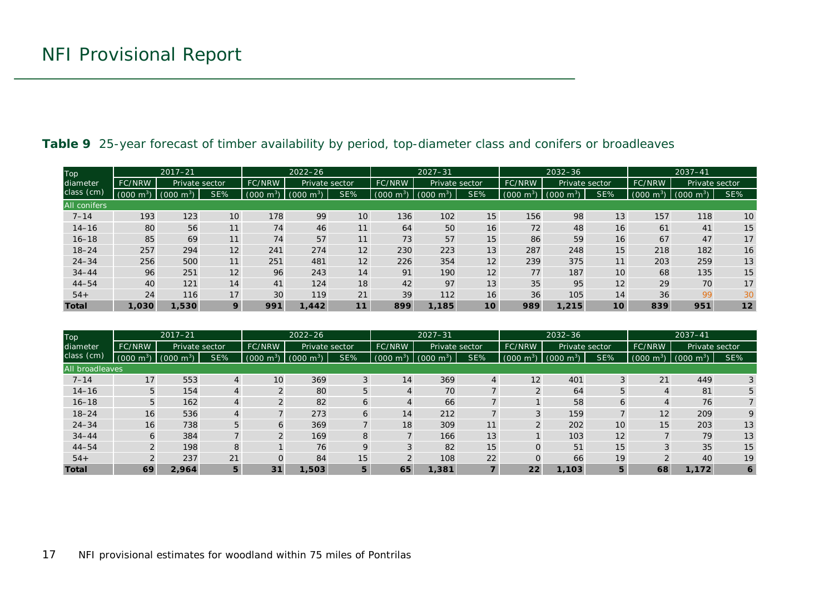| Top<br>diameter<br>class (cm) | $2017 - 21$         |                    |                 | $2022 - 26$    |                        |     | $2027 - 31$                           |                  |                 |               | $2032 - 36$           |                 | $2037 - 41$            |                        |     |
|-------------------------------|---------------------|--------------------|-----------------|----------------|------------------------|-----|---------------------------------------|------------------|-----------------|---------------|-----------------------|-----------------|------------------------|------------------------|-----|
|                               | <b>FC/NRW</b>       | Private sector     |                 | FC/NRW         | Private sector         |     | FC/NRW                                | Private sector   |                 | FC/NRW        | Private sector        |                 | <b>FC/NRW</b>          | Private sector         |     |
|                               | $(000 \text{ m}^3)$ | $-10^{3}$<br>(000) | SE%             | $m^3$<br>(000) | (000<br>m <sup>3</sup> | SE% | $\sim$ m <sup>3</sup> $\sim$<br>(000) | (000<br>$-m^{3}$ | SE%             | 000(<br>$m^3$ | $(000 \; \text{m}^3)$ | SE%             | m <sup>3</sup><br>000( | m <sup>3</sup><br>(000 | SE% |
| <b>All conifers</b>           |                     |                    |                 |                |                        |     |                                       |                  |                 |               |                       |                 |                        |                        |     |
| $7 - 14$                      | 193                 | 123                | 10 <sup>°</sup> | 178            | 99                     | 10  | 136                                   | 102              | 15              | 156           | 98                    | 13              | 157                    | 118                    | 10  |
| $14 - 16$                     | 80                  | 56                 | 11              | 74             | 46                     | 11  | 64                                    | 50               | 16              | 72            | 48                    | 16              | 61                     | 41                     | 15  |
| $16 - 18$                     | 85                  | 69                 | 11              | 74             | 57                     | 11  | 73                                    | 57               | 15              | 86            | 59                    | 16              | 67                     | 47                     | 17  |
| $18 - 24$                     | 257                 | 294                | 12              | 241            | 274                    | 12  | 230                                   | 223              | 13              | 287           | 248                   | 15              | 218                    | 182                    | 16  |
| $24 - 34$                     | 256                 | 500                | 11              | 251            | 481                    | 12  | 226                                   | 354              | 12              | 239           | 375                   | 11              | 203                    | 259                    | 13  |
| $34 - 44$                     | 96                  | 251                | 12              | 96             | 243                    | 14  | 91                                    | 190              | 12              | 77            | 187                   | 10 <sup>°</sup> | 68                     | 135                    | 15  |
| $44 - 54$                     | 40                  | 121                | 14              | 41             | 124                    | 18  | 42                                    | 97               | 13              | 35            | 95                    | 12              | 29                     | 70                     | 17  |
| $54+$                         | 24                  | 116                | 17              | 30             | 119                    | 21  | 39                                    | 112              | 16              | 36            | 105                   | 14              | 36                     | 99                     | 30  |
| <b>Total</b>                  | 1,030               | 1,530              | 9               | 991            | 1.442                  | 11  | 899                                   | 1.185            | 10 <sup>1</sup> | 989           | 1,215                 | 10 <sup>1</sup> | 839                    | 951                    | 12  |

#### **Table 9** 25-year forecast of timber availability by period, top-diameter class and conifers or broadleaves

<span id="page-16-0"></span>

| <b>Top</b>      |                     | $2017 - 21$         |     |                  | $2022 - 26$             |     |                     | $2027 - 31$         |     | $2032 - 36$         |                            |                 | $2037 - 41$            |                |     |
|-----------------|---------------------|---------------------|-----|------------------|-------------------------|-----|---------------------|---------------------|-----|---------------------|----------------------------|-----------------|------------------------|----------------|-----|
| diameter        | <b>FC/NRW</b>       | Private sector      |     | FC/NRW           | Private sector          |     | FC/NRW              | Private sector      |     | FC/NRW              | Private sector             |                 | <b>FC/NRW</b>          | Private sector |     |
| class (cm)      | $(000 \text{ m}^3)$ | $(000 \text{ m}^3)$ | SE% | (000)<br>$m^{3}$ | (000)<br>m <sup>3</sup> | SE% | $(000 \text{ m}^3)$ | $(000 \text{ m}^3)$ | SE% | $(000 \text{ m}^3)$ | (000)<br>∣m <sup>3</sup> ) | SE%             | 000(<br>$\mathsf{m}^3$ | (000)<br>$m^3$ | SE% |
| All broadleaves |                     |                     |     |                  |                         |     |                     |                     |     |                     |                            |                 |                        |                |     |
| $7 - 14$        | 17                  | 553                 | 4   | 10               | 369                     | 3   | 14                  | 369                 | 4   | 12                  | 401                        | 3               | 21                     | 449            | 3   |
| $14 - 16$       | 5                   | 154                 |     |                  | 80                      | 5   |                     | 70                  |     |                     | 64                         | 5               |                        | 81             | 5   |
| $16 - 18$       | 5                   | 162                 | 4   |                  | 82                      | 6   |                     | 66                  |     |                     | 58                         | 6               |                        | 76             |     |
| $18 - 24$       | 16                  | 536                 | 4   |                  | 273                     | 6   | 14                  | 212                 |     |                     | 159                        |                 | 12                     | 209            |     |
| $24 - 34$       | 16                  | 738                 | 5   | 6                | 369                     |     | 18                  | 309                 | 11  |                     | 202                        | 10 <sup>°</sup> | 15 <sub>1</sub>        | 203            | 13  |
| $34 - 44$       | 6                   | 384                 |     |                  | 169                     | 8   |                     | 166                 | 13  |                     | 103                        | 12              |                        | 79             | 13  |
| $44 - 54$       |                     | 198                 | 8   |                  | 76                      | 9   |                     | 82                  | 15  |                     | 51                         | 15              |                        | 35             | 15  |
| $54+$           |                     | 237                 | 21  | $\Omega$         | 84                      | 15  |                     | 108                 | 22  |                     | 66                         | 19              |                        | 40             | 19  |
| <b>Total</b>    | 69                  | 2.964               | 5   | 31               | 1,503                   | 5   | 65                  | 1,381               |     | 22                  | 1,103                      | 5               | 68                     | 1,172          | 6   |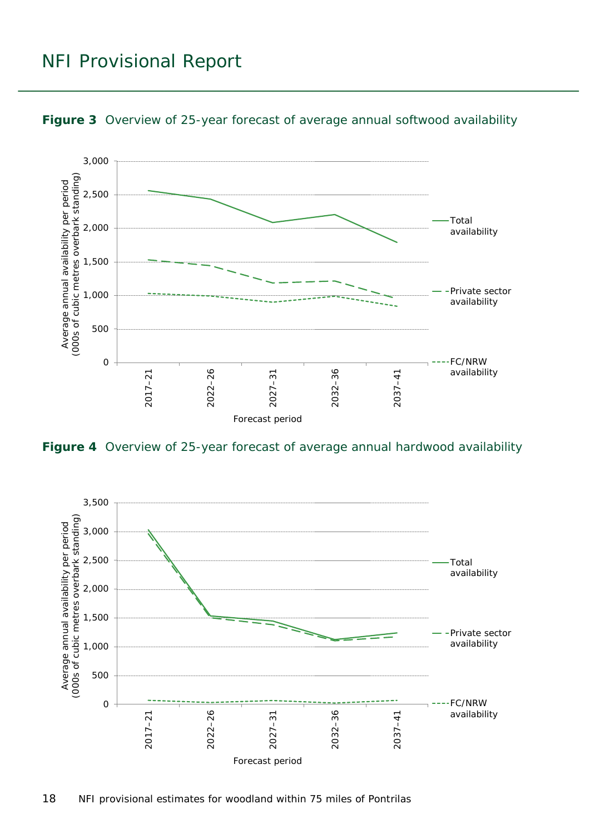### NFI Provisional Report



<span id="page-17-0"></span>

<span id="page-17-1"></span>**Figure 4** Overview of 25-year forecast of average annual hardwood availability

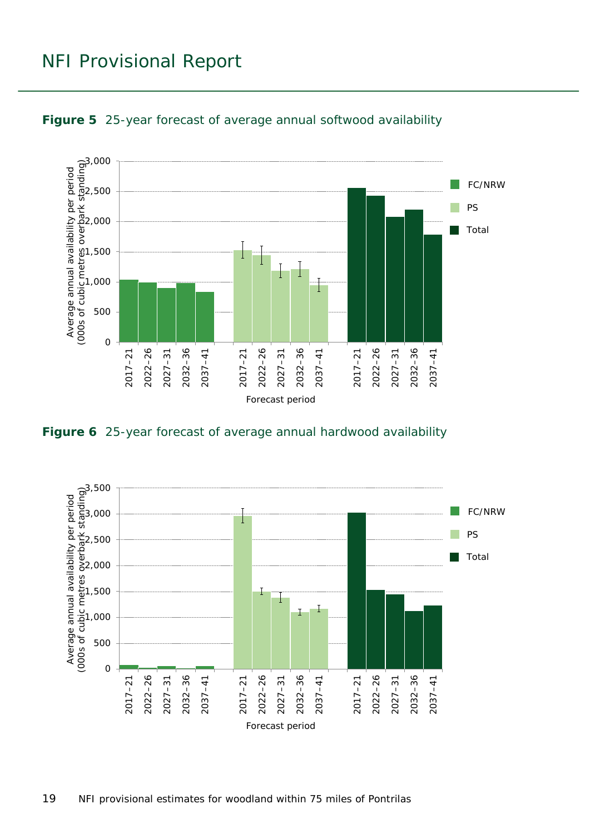### NFI Provisional Report



<span id="page-18-0"></span>

<span id="page-18-1"></span>